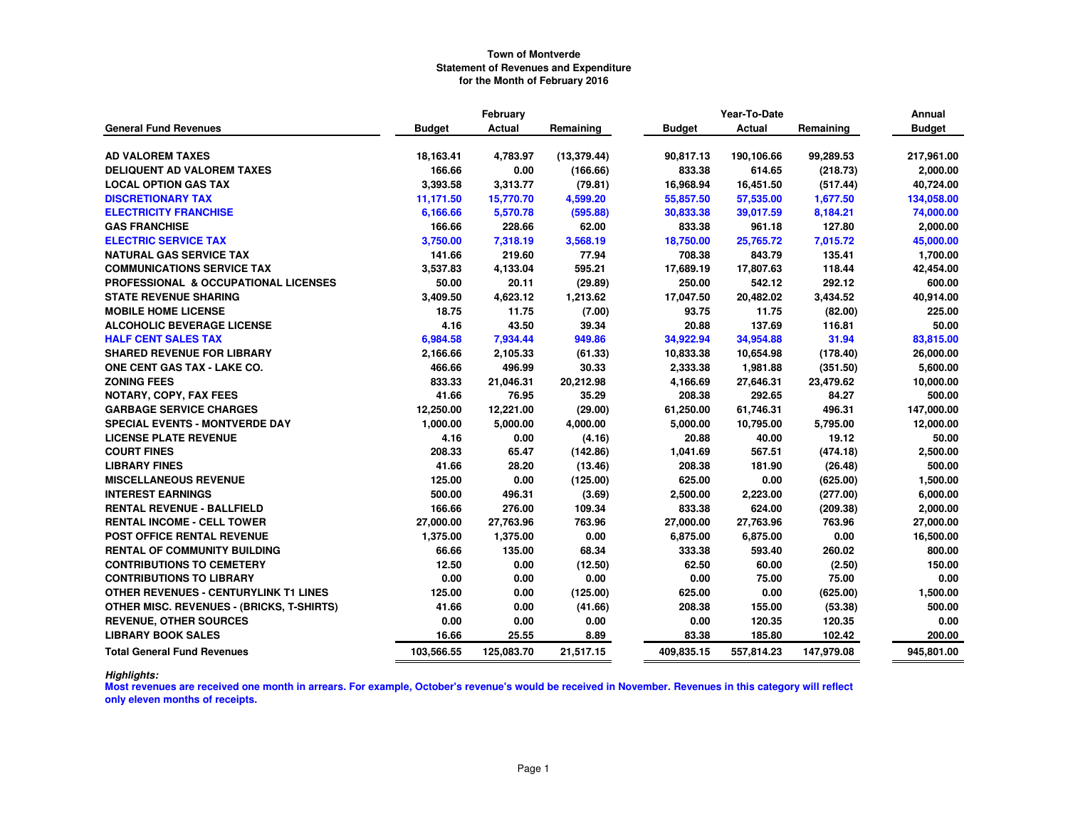|                                                  |               | February      |              | Year-To-Date  |               |            | Annual        |
|--------------------------------------------------|---------------|---------------|--------------|---------------|---------------|------------|---------------|
| <b>General Fund Revenues</b>                     | <b>Budget</b> | <b>Actual</b> | Remaining    | <b>Budget</b> | <b>Actual</b> | Remaining  | <b>Budget</b> |
|                                                  |               |               |              |               |               |            |               |
| <b>AD VALOREM TAXES</b>                          | 18,163.41     | 4,783.97      | (13, 379.44) | 90.817.13     | 190,106.66    | 99,289.53  | 217,961.00    |
| <b>DELIQUENT AD VALOREM TAXES</b>                | 166.66        | 0.00          | (166.66)     | 833.38        | 614.65        | (218.73)   | 2,000.00      |
| <b>LOCAL OPTION GAS TAX</b>                      | 3,393.58      | 3,313.77      | (79.81)      | 16.968.94     | 16,451.50     | (517.44)   | 40,724.00     |
| <b>DISCRETIONARY TAX</b>                         | 11,171.50     | 15,770.70     | 4,599.20     | 55,857.50     | 57,535.00     | 1,677.50   | 134,058.00    |
| <b>ELECTRICITY FRANCHISE</b>                     | 6,166.66      | 5,570.78      | (595.88)     | 30,833.38     | 39,017.59     | 8,184.21   | 74,000.00     |
| <b>GAS FRANCHISE</b>                             | 166.66        | 228.66        | 62.00        | 833.38        | 961.18        | 127.80     | 2,000.00      |
| <b>ELECTRIC SERVICE TAX</b>                      | 3,750.00      | 7,318.19      | 3,568.19     | 18,750.00     | 25,765.72     | 7,015.72   | 45,000.00     |
| <b>NATURAL GAS SERVICE TAX</b>                   | 141.66        | 219.60        | 77.94        | 708.38        | 843.79        | 135.41     | 1,700.00      |
| <b>COMMUNICATIONS SERVICE TAX</b>                | 3,537.83      | 4,133.04      | 595.21       | 17,689.19     | 17,807.63     | 118.44     | 42,454.00     |
| PROFESSIONAL & OCCUPATIONAL LICENSES             | 50.00         | 20.11         | (29.89)      | 250.00        | 542.12        | 292.12     | 600.00        |
| <b>STATE REVENUE SHARING</b>                     | 3,409.50      | 4,623.12      | 1,213.62     | 17,047.50     | 20,482.02     | 3,434.52   | 40,914.00     |
| <b>MOBILE HOME LICENSE</b>                       | 18.75         | 11.75         | (7.00)       | 93.75         | 11.75         | (82.00)    | 225.00        |
| <b>ALCOHOLIC BEVERAGE LICENSE</b>                | 4.16          | 43.50         | 39.34        | 20.88         | 137.69        | 116.81     | 50.00         |
| <b>HALF CENT SALES TAX</b>                       | 6,984.58      | 7,934.44      | 949.86       | 34,922.94     | 34,954.88     | 31.94      | 83,815.00     |
| <b>SHARED REVENUE FOR LIBRARY</b>                | 2,166.66      | 2,105.33      | (61.33)      | 10,833.38     | 10,654.98     | (178.40)   | 26,000.00     |
| <b>ONE CENT GAS TAX - LAKE CO.</b>               | 466.66        | 496.99        | 30.33        | 2,333.38      | 1,981.88      | (351.50)   | 5,600.00      |
| <b>ZONING FEES</b>                               | 833.33        | 21,046.31     | 20,212.98    | 4,166.69      | 27,646.31     | 23,479.62  | 10,000.00     |
| <b>NOTARY, COPY, FAX FEES</b>                    | 41.66         | 76.95         | 35.29        | 208.38        | 292.65        | 84.27      | 500.00        |
| <b>GARBAGE SERVICE CHARGES</b>                   | 12,250.00     | 12,221.00     | (29.00)      | 61,250.00     | 61,746.31     | 496.31     | 147,000.00    |
| <b>SPECIAL EVENTS - MONTVERDE DAY</b>            | 1,000.00      | 5,000.00      | 4,000.00     | 5,000.00      | 10,795.00     | 5,795.00   | 12,000.00     |
| <b>LICENSE PLATE REVENUE</b>                     | 4.16          | 0.00          | (4.16)       | 20.88         | 40.00         | 19.12      | 50.00         |
| <b>COURT FINES</b>                               | 208.33        | 65.47         | (142.86)     | 1,041.69      | 567.51        | (474.18)   | 2,500.00      |
| <b>LIBRARY FINES</b>                             | 41.66         | 28.20         | (13.46)      | 208.38        | 181.90        | (26.48)    | 500.00        |
| <b>MISCELLANEOUS REVENUE</b>                     | 125.00        | 0.00          | (125.00)     | 625.00        | 0.00          | (625.00)   | 1,500.00      |
| <b>INTEREST EARNINGS</b>                         | 500.00        | 496.31        | (3.69)       | 2,500.00      | 2,223.00      | (277.00)   | 6,000.00      |
| <b>RENTAL REVENUE - BALLFIELD</b>                | 166.66        | 276.00        | 109.34       | 833.38        | 624.00        | (209.38)   | 2,000.00      |
| <b>RENTAL INCOME - CELL TOWER</b>                | 27,000.00     | 27,763.96     | 763.96       | 27,000.00     | 27,763.96     | 763.96     | 27,000.00     |
| POST OFFICE RENTAL REVENUE                       | 1,375.00      | 1,375.00      | 0.00         | 6,875.00      | 6,875.00      | 0.00       | 16,500.00     |
| <b>RENTAL OF COMMUNITY BUILDING</b>              | 66.66         | 135.00        | 68.34        | 333.38        | 593.40        | 260.02     | 800.00        |
| <b>CONTRIBUTIONS TO CEMETERY</b>                 | 12.50         | 0.00          | (12.50)      | 62.50         | 60.00         | (2.50)     | 150.00        |
| <b>CONTRIBUTIONS TO LIBRARY</b>                  | 0.00          | 0.00          | 0.00         | 0.00          | 75.00         | 75.00      | 0.00          |
| <b>OTHER REVENUES - CENTURYLINK T1 LINES</b>     | 125.00        | 0.00          | (125.00)     | 625.00        | 0.00          | (625.00)   | 1,500.00      |
| <b>OTHER MISC. REVENUES - (BRICKS, T-SHIRTS)</b> | 41.66         | 0.00          | (41.66)      | 208.38        | 155.00        | (53.38)    | 500.00        |
| <b>REVENUE, OTHER SOURCES</b>                    | 0.00          | 0.00          | 0.00         | 0.00          | 120.35        | 120.35     | 0.00          |
| <b>LIBRARY BOOK SALES</b>                        | 16.66         | 25.55         | 8.89         | 83.38         | 185.80        | 102.42     | 200.00        |
| <b>Total General Fund Revenues</b>               | 103,566.55    | 125,083.70    | 21,517.15    | 409,835.15    | 557,814.23    | 147,979.08 | 945,801.00    |

*Highlights:*

 **Most revenues are received one month in arrears. For example, October's revenue's would be received in November. Revenues in this category will reflect only eleven months of receipts.**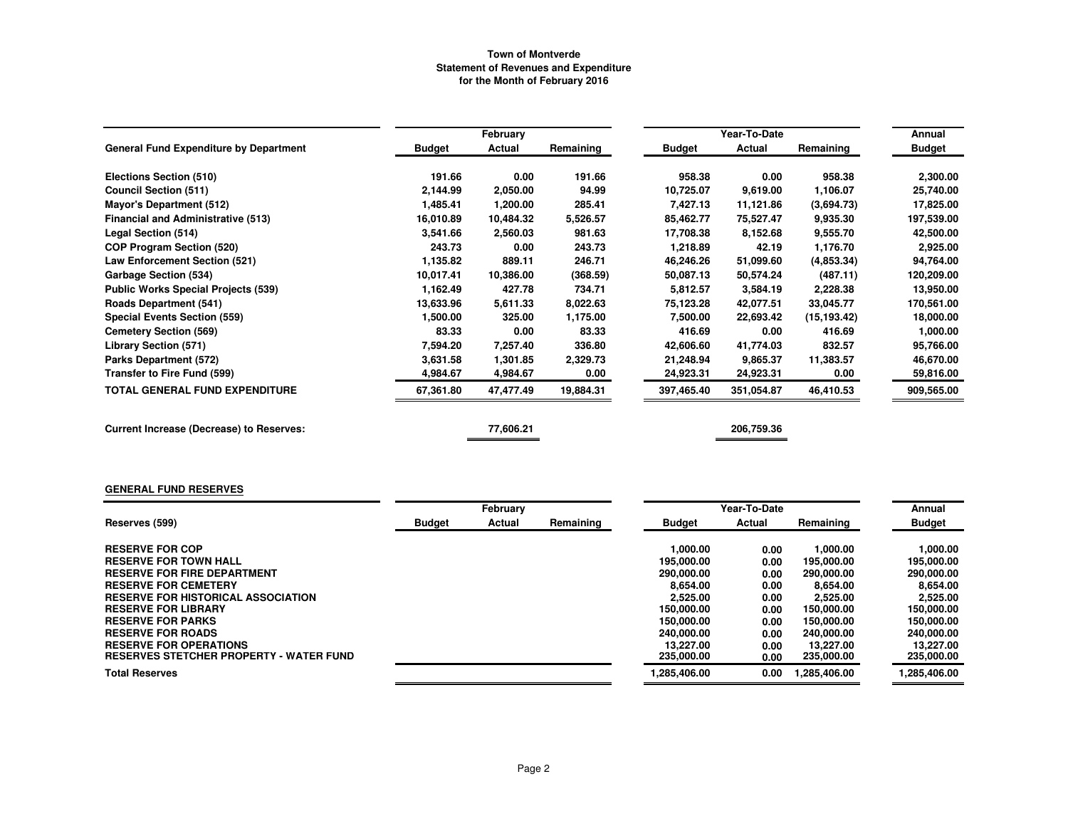|                                                 |               | February  |           |               | Year-To-Date |              | Annual        |
|-------------------------------------------------|---------------|-----------|-----------|---------------|--------------|--------------|---------------|
| <b>General Fund Expenditure by Department</b>   | <b>Budget</b> | Actual    | Remaining | <b>Budget</b> | Actual       | Remaining    | <b>Budget</b> |
| Elections Section (510)                         | 191.66        | 0.00      | 191.66    | 958.38        | 0.00         | 958.38       | 2,300.00      |
| <b>Council Section (511)</b>                    | 2,144.99      | 2,050.00  | 94.99     | 10,725.07     | 9,619.00     | 1,106.07     | 25,740.00     |
| <b>Mayor's Department (512)</b>                 | 1,485.41      | 1,200.00  | 285.41    | 7,427.13      | 11,121.86    | (3,694.73)   | 17,825.00     |
| <b>Financial and Administrative (513)</b>       | 16,010.89     | 10,484.32 | 5,526.57  | 85,462.77     | 75,527.47    | 9,935.30     | 197,539.00    |
| Legal Section (514)                             | 3,541.66      | 2,560.03  | 981.63    | 17,708.38     | 8,152.68     | 9,555.70     | 42,500.00     |
| <b>COP Program Section (520)</b>                | 243.73        | 0.00      | 243.73    | 1,218.89      | 42.19        | 1,176.70     | 2,925.00      |
| <b>Law Enforcement Section (521)</b>            | 1,135.82      | 889.11    | 246.71    | 46,246.26     | 51,099.60    | (4,853.34)   | 94,764.00     |
| <b>Garbage Section (534)</b>                    | 10,017.41     | 10,386.00 | (368.59)  | 50,087.13     | 50,574.24    | (487.11)     | 120,209.00    |
| <b>Public Works Special Projects (539)</b>      | 1,162.49      | 427.78    | 734.71    | 5,812.57      | 3,584.19     | 2,228.38     | 13,950.00     |
| <b>Roads Department (541)</b>                   | 13,633.96     | 5,611.33  | 8,022.63  | 75, 123.28    | 42,077.51    | 33,045.77    | 170,561.00    |
| <b>Special Events Section (559)</b>             | 1,500.00      | 325.00    | 1,175.00  | 7,500.00      | 22,693.42    | (15, 193.42) | 18,000.00     |
| <b>Cemetery Section (569)</b>                   | 83.33         | 0.00      | 83.33     | 416.69        | 0.00         | 416.69       | 1,000.00      |
| <b>Library Section (571)</b>                    | 7,594.20      | 7,257.40  | 336.80    | 42,606.60     | 41,774.03    | 832.57       | 95,766.00     |
| Parks Department (572)                          | 3,631.58      | 1,301.85  | 2,329.73  | 21,248.94     | 9,865.37     | 11,383.57    | 46,670.00     |
| Transfer to Fire Fund (599)                     | 4,984.67      | 4,984.67  | 0.00      | 24,923.31     | 24,923.31    | 0.00         | 59,816.00     |
| TOTAL GENERAL FUND EXPENDITURE                  | 67,361.80     | 47,477.49 | 19,884.31 | 397,465.40    | 351,054.87   | 46,410.53    | 909,565.00    |
| <b>Current Increase (Decrease) to Reserves:</b> |               | 77,606.21 |           |               | 206,759.36   |              |               |

#### **GENERAL FUND RESERVES**

|                                                | February<br>Year-To-Date |        |           |               |        | Annual      |               |
|------------------------------------------------|--------------------------|--------|-----------|---------------|--------|-------------|---------------|
| Reserves (599)                                 | <b>Budget</b>            | Actual | Remaining | <b>Budget</b> | Actual | Remaining   | <b>Budget</b> |
| <b>RESERVE FOR COP</b>                         |                          |        |           | 1.000.00      | 0.00   | 1.000.00    | 1.000.00      |
| <b>RESERVE FOR TOWN HALL</b>                   |                          |        |           | 195,000.00    | 0.00   | 195,000.00  | 195,000.00    |
| <b>RESERVE FOR FIRE DEPARTMENT</b>             |                          |        |           | 290,000,00    | 0.00   | 290,000,00  | 290.000.00    |
| <b>RESERVE FOR CEMETERY</b>                    |                          |        |           | 8.654.00      | 0.00   | 8.654.00    | 8.654.00      |
| <b>RESERVE FOR HISTORICAL ASSOCIATION</b>      |                          |        |           | 2.525.00      | 0.00   | 2.525.00    | 2,525.00      |
| <b>RESERVE FOR LIBRARY</b>                     |                          |        |           | 150,000,00    | 0.00   | 150,000,00  | 150,000,00    |
| <b>RESERVE FOR PARKS</b>                       |                          |        |           | 150,000,00    | 0.00   | 150,000,00  | 150,000.00    |
| <b>RESERVE FOR ROADS</b>                       |                          |        |           | 240,000,00    | 0.00   | 240,000.00  | 240.000.00    |
| <b>RESERVE FOR OPERATIONS</b>                  |                          |        |           | 13.227.00     | 0.00   | 13.227.00   | 13.227.00     |
| <b>RESERVES STETCHER PROPERTY - WATER FUND</b> |                          |        |           | 235,000.00    | 0.00   | 235,000.00  | 235,000.00    |
| <b>Total Reserves</b>                          |                          |        |           | 1.285.406.00  | 0.00   | .285.406.00 | 1,285,406.00  |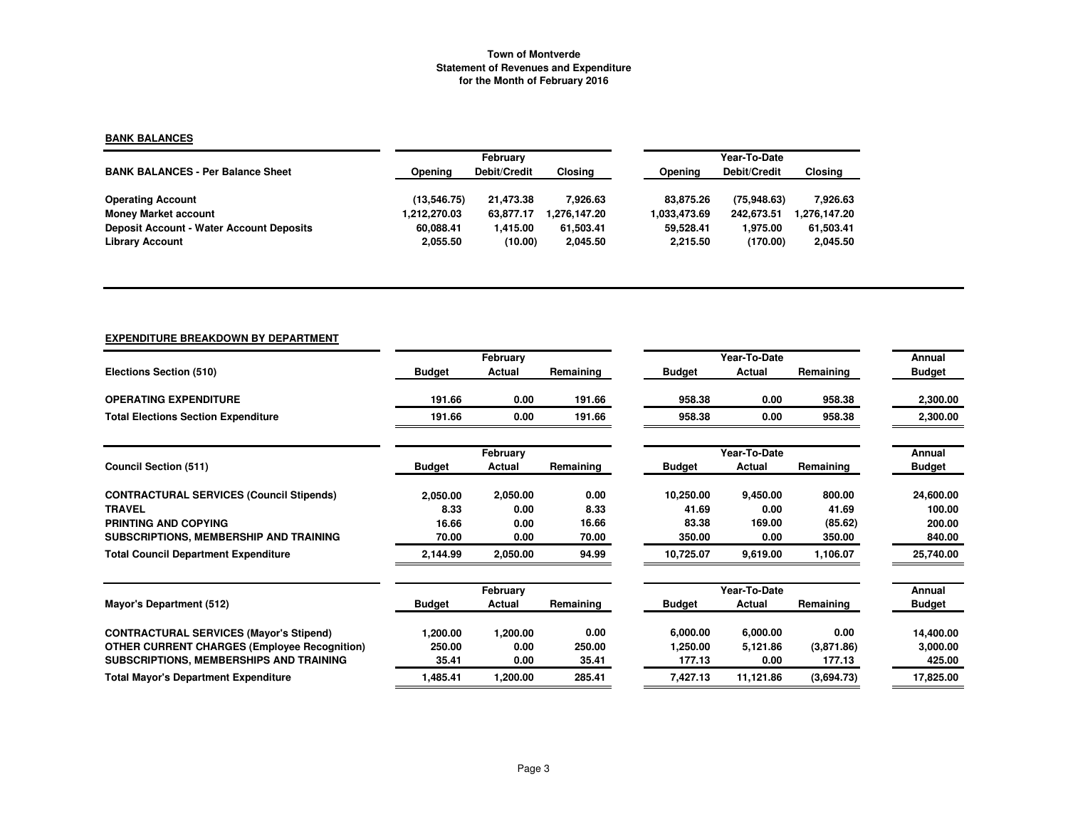## **BANK BALANCES**

|                                                 |              | February     |                |              | Year-To-Date |             |  |  |  |
|-------------------------------------------------|--------------|--------------|----------------|--------------|--------------|-------------|--|--|--|
| <b>BANK BALANCES - Per Balance Sheet</b>        | Opening      | Debit/Credit | <b>Closing</b> | Opening      | Debit/Credit | Closing     |  |  |  |
| <b>Operating Account</b>                        | (13.546.75)  | 21.473.38    | 7.926.63       | 83.875.26    | (75.948.63)  | 7.926.63    |  |  |  |
| <b>Money Market account</b>                     | 1,212,270.03 | 63.877.17    | 1.276.147.20   | 1.033.473.69 | 242.673.51   | 276,147.20, |  |  |  |
| <b>Deposit Account - Water Account Deposits</b> | 60.088.41    | 1.415.00     | 61.503.41      | 59.528.41    | 1.975.00     | 61,503.41   |  |  |  |
| <b>Library Account</b>                          | 2,055.50     | (10.00)      | 2,045.50       | 2.215.50     | (170.00)     | 2,045.50    |  |  |  |

# **EXPENDITURE BREAKDOWN BY DEPARTMENT**

|                                                     |               | February |           |               | Year-To-Date |            | Annual        |
|-----------------------------------------------------|---------------|----------|-----------|---------------|--------------|------------|---------------|
| Elections Section (510)                             | <b>Budget</b> | Actual   | Remaining | <b>Budget</b> | Actual       | Remaining  | <b>Budget</b> |
| <b>OPERATING EXPENDITURE</b>                        | 191.66        | 0.00     | 191.66    | 958.38        | 0.00         | 958.38     | 2,300.00      |
| <b>Total Elections Section Expenditure</b>          | 191.66        | 0.00     | 191.66    | 958.38        | 0.00         | 958.38     | 2,300.00      |
|                                                     |               | February |           |               | Year-To-Date |            | Annual        |
| <b>Council Section (511)</b>                        | <b>Budget</b> | Actual   | Remaining | <b>Budget</b> | Actual       | Remaining  | <b>Budget</b> |
| <b>CONTRACTURAL SERVICES (Council Stipends)</b>     | 2,050.00      | 2,050.00 | 0.00      | 10,250.00     | 9,450.00     | 800.00     | 24,600.00     |
| <b>TRAVEL</b>                                       | 8.33          | 0.00     | 8.33      | 41.69         | 0.00         | 41.69      | 100.00        |
| PRINTING AND COPYING                                | 16.66         | 0.00     | 16.66     | 83.38         | 169.00       | (85.62)    | 200.00        |
| SUBSCRIPTIONS, MEMBERSHIP AND TRAINING              | 70.00         | 0.00     | 70.00     | 350.00        | 0.00         | 350.00     | 840.00        |
| <b>Total Council Department Expenditure</b>         | 2,144.99      | 2,050.00 | 94.99     | 10,725.07     | 9,619.00     | 1,106.07   | 25,740.00     |
|                                                     |               | February |           |               | Year-To-Date |            | Annual        |
| Mayor's Department (512)                            | <b>Budget</b> | Actual   | Remaining | <b>Budget</b> | Actual       | Remaining  | <b>Budget</b> |
| <b>CONTRACTURAL SERVICES (Mayor's Stipend)</b>      | 1,200.00      | 1,200.00 | 0.00      | 6,000.00      | 6,000.00     | 0.00       | 14,400.00     |
| <b>OTHER CURRENT CHARGES (Employee Recognition)</b> | 250.00        | 0.00     | 250.00    | 1,250.00      | 5,121.86     | (3,871.86) | 3,000.00      |
| SUBSCRIPTIONS, MEMBERSHIPS AND TRAINING             | 35.41         | 0.00     | 35.41     | 177.13        | 0.00         | 177.13     | 425.00        |
| <b>Total Mayor's Department Expenditure</b>         | 1,485.41      | 1,200.00 | 285.41    | 7,427.13      | 11,121.86    | (3,694.73) | 17,825.00     |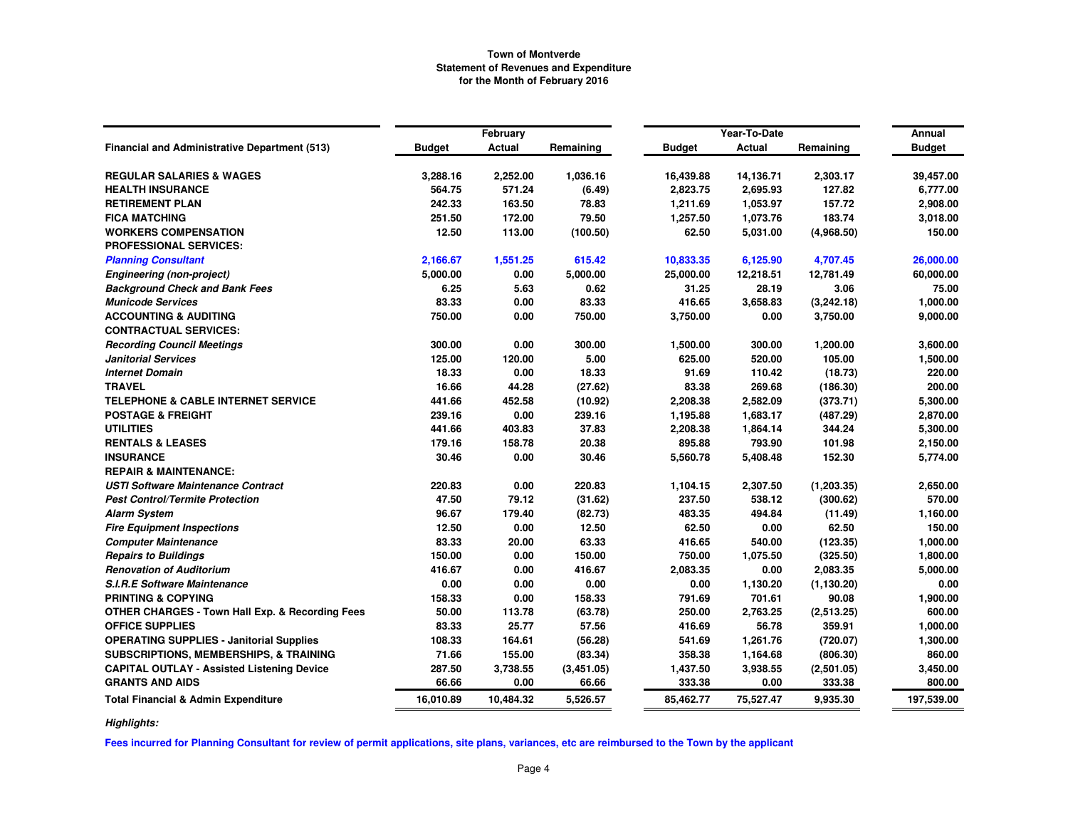|                                                            |               | February      |            |               | Year-To-Date  |             | Annual        |
|------------------------------------------------------------|---------------|---------------|------------|---------------|---------------|-------------|---------------|
| Financial and Administrative Department (513)              | <b>Budget</b> | <b>Actual</b> | Remaining  | <b>Budget</b> | <b>Actual</b> | Remaining   | <b>Budget</b> |
| <b>REGULAR SALARIES &amp; WAGES</b>                        | 3,288.16      | 2,252.00      | 1,036.16   | 16,439.88     | 14,136.71     | 2,303.17    | 39,457.00     |
| <b>HEALTH INSURANCE</b>                                    | 564.75        | 571.24        | (6.49)     | 2,823.75      | 2,695.93      | 127.82      | 6,777.00      |
| <b>RETIREMENT PLAN</b>                                     | 242.33        | 163.50        | 78.83      | 1,211.69      | 1,053.97      | 157.72      | 2,908.00      |
| <b>FICA MATCHING</b>                                       | 251.50        | 172.00        | 79.50      | 1,257.50      | 1,073.76      | 183.74      | 3,018.00      |
| <b>WORKERS COMPENSATION</b>                                | 12.50         | 113.00        | (100.50)   | 62.50         | 5,031.00      | (4,968.50)  | 150.00        |
| <b>PROFESSIONAL SERVICES:</b>                              |               |               |            |               |               |             |               |
| <b>Planning Consultant</b>                                 | 2,166.67      | 1,551.25      | 615.42     | 10,833.35     | 6,125.90      | 4,707.45    | 26,000.00     |
| <b>Engineering (non-project)</b>                           | 5,000.00      | 0.00          | 5,000.00   | 25,000.00     | 12,218.51     | 12,781.49   | 60,000.00     |
| <b>Background Check and Bank Fees</b>                      | 6.25          | 5.63          | 0.62       | 31.25         | 28.19         | 3.06        | 75.00         |
| <b>Municode Services</b>                                   | 83.33         | 0.00          | 83.33      | 416.65        | 3,658.83      | (3, 242.18) | 1,000.00      |
| <b>ACCOUNTING &amp; AUDITING</b>                           | 750.00        | 0.00          | 750.00     | 3,750.00      | 0.00          | 3,750.00    | 9,000.00      |
| <b>CONTRACTUAL SERVICES:</b>                               |               |               |            |               |               |             |               |
| <b>Recording Council Meetings</b>                          | 300.00        | 0.00          | 300.00     | 1,500.00      | 300.00        | 1,200.00    | 3,600.00      |
| <b>Janitorial Services</b>                                 | 125.00        | 120.00        | 5.00       | 625.00        | 520.00        | 105.00      | 1,500.00      |
| <b>Internet Domain</b>                                     | 18.33         | 0.00          | 18.33      | 91.69         | 110.42        | (18.73)     | 220.00        |
| <b>TRAVEL</b>                                              | 16.66         | 44.28         | (27.62)    | 83.38         | 269.68        | (186.30)    | 200.00        |
| <b>TELEPHONE &amp; CABLE INTERNET SERVICE</b>              | 441.66        | 452.58        | (10.92)    | 2,208.38      | 2,582.09      | (373.71)    | 5,300.00      |
| <b>POSTAGE &amp; FREIGHT</b>                               | 239.16        | 0.00          | 239.16     | 1,195.88      | 1,683.17      | (487.29)    | 2,870.00      |
| <b>UTILITIES</b>                                           | 441.66        | 403.83        | 37.83      | 2,208.38      | 1,864.14      | 344.24      | 5,300.00      |
| <b>RENTALS &amp; LEASES</b>                                | 179.16        | 158.78        | 20.38      | 895.88        | 793.90        | 101.98      | 2,150.00      |
| <b>INSURANCE</b>                                           | 30.46         | 0.00          | 30.46      | 5,560.78      | 5,408.48      | 152.30      | 5,774.00      |
| <b>REPAIR &amp; MAINTENANCE:</b>                           |               |               |            |               |               |             |               |
| <b>USTI Software Maintenance Contract</b>                  | 220.83        | 0.00          | 220.83     | 1,104.15      | 2,307.50      | (1, 203.35) | 2,650.00      |
| <b>Pest Control/Termite Protection</b>                     | 47.50         | 79.12         | (31.62)    | 237.50        | 538.12        | (300.62)    | 570.00        |
| <b>Alarm System</b>                                        | 96.67         | 179.40        | (82.73)    | 483.35        | 494.84        | (11.49)     | 1,160.00      |
| <b>Fire Equipment Inspections</b>                          | 12.50         | 0.00          | 12.50      | 62.50         | 0.00          | 62.50       | 150.00        |
| <b>Computer Maintenance</b>                                | 83.33         | 20.00         | 63.33      | 416.65        | 540.00        | (123.35)    | 1,000.00      |
| <b>Repairs to Buildings</b>                                | 150.00        | 0.00          | 150.00     | 750.00        | 1,075.50      | (325.50)    | 1,800.00      |
| <b>Renovation of Auditorium</b>                            | 416.67        | 0.00          | 416.67     | 2,083.35      | 0.00          | 2,083.35    | 5,000.00      |
| <b>S.I.R.E Software Maintenance</b>                        | 0.00          | 0.00          | 0.00       | 0.00          | 1,130.20      | (1, 130.20) | 0.00          |
| <b>PRINTING &amp; COPYING</b>                              | 158.33        | 0.00          | 158.33     | 791.69        | 701.61        | 90.08       | 1,900.00      |
| <b>OTHER CHARGES - Town Hall Exp. &amp; Recording Fees</b> | 50.00         | 113.78        | (63.78)    | 250.00        | 2,763.25      | (2,513.25)  | 600.00        |
| <b>OFFICE SUPPLIES</b>                                     | 83.33         | 25.77         | 57.56      | 416.69        | 56.78         | 359.91      | 1,000.00      |
| <b>OPERATING SUPPLIES - Janitorial Supplies</b>            | 108.33        | 164.61        | (56.28)    | 541.69        | 1,261.76      | (720.07)    | 1,300.00      |
| <b>SUBSCRIPTIONS, MEMBERSHIPS, &amp; TRAINING</b>          | 71.66         | 155.00        | (83.34)    | 358.38        | 1,164.68      | (806.30)    | 860.00        |
| <b>CAPITAL OUTLAY - Assisted Listening Device</b>          | 287.50        | 3,738.55      | (3,451.05) | 1,437.50      | 3,938.55      | (2,501.05)  | 3,450.00      |
| <b>GRANTS AND AIDS</b>                                     | 66.66         | 0.00          | 66.66      | 333.38        | 0.00          | 333.38      | 800.00        |
| <b>Total Financial &amp; Admin Expenditure</b>             | 16,010.89     | 10,484.32     | 5,526.57   | 85,462.77     | 75,527.47     | 9,935.30    | 197,539.00    |

*Highlights:*

**Fees incurred for Planning Consultant for review of permit applications, site plans, variances, etc are reimbursed to the Town by the applicant**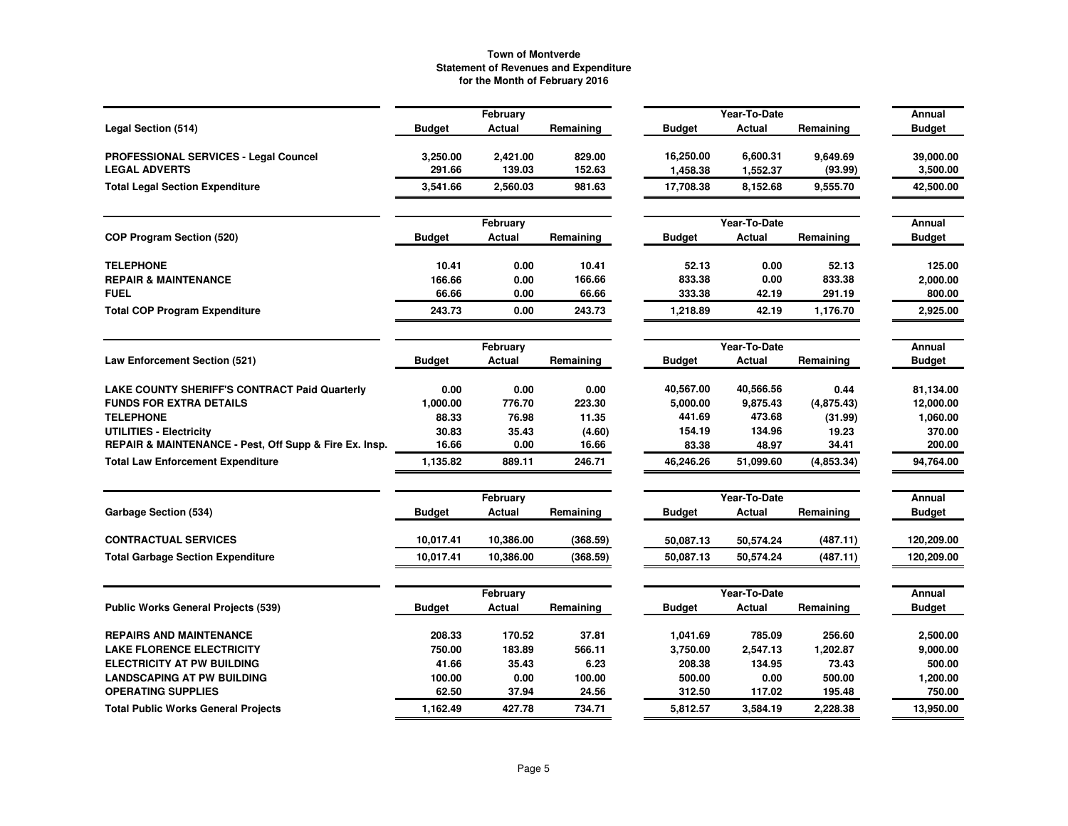|                                                        |               | February           |           |               | Year-To-Date           |            | Annual                  |
|--------------------------------------------------------|---------------|--------------------|-----------|---------------|------------------------|------------|-------------------------|
| Legal Section (514)                                    | <b>Budget</b> | Actual             | Remaining | <b>Budget</b> | Actual                 | Remaining  | <b>Budget</b>           |
| PROFESSIONAL SERVICES - Legal Councel                  | 3,250.00      | 2,421.00           | 829.00    | 16,250.00     | 6,600.31               | 9,649.69   | 39,000.00               |
| <b>LEGAL ADVERTS</b>                                   | 291.66        | 139.03             | 152.63    | 1,458.38      | 1,552.37               | (93.99)    | 3,500.00                |
| <b>Total Legal Section Expenditure</b>                 | 3,541.66      | 2,560.03           | 981.63    | 17,708.38     | 8,152.68               | 9,555.70   | 42,500.00               |
|                                                        |               | February           |           |               | Year-To-Date           |            | <b>Annual</b>           |
| <b>COP Program Section (520)</b>                       | <b>Budget</b> | Actual             | Remaining | <b>Budget</b> | Actual                 | Remaining  | <b>Budget</b>           |
| <b>TELEPHONE</b>                                       | 10.41         | 0.00               | 10.41     | 52.13         | 0.00                   | 52.13      | 125.00                  |
| <b>REPAIR &amp; MAINTENANCE</b>                        | 166.66        | 0.00               | 166.66    | 833.38        | 0.00                   | 833.38     | 2,000.00                |
| <b>FUEL</b>                                            | 66.66         | 0.00               | 66.66     | 333.38        | 42.19                  | 291.19     | 800.00                  |
| <b>Total COP Program Expenditure</b>                   | 243.73        | 0.00               | 243.73    | 1,218.89      | 42.19                  | 1,176.70   | 2,925.00                |
|                                                        |               | February           |           |               | Year-To-Date           |            | Annual                  |
| <b>Law Enforcement Section (521)</b>                   | <b>Budget</b> | Actual             | Remaining | <b>Budget</b> | Actual                 | Remaining  | <b>Budget</b>           |
| LAKE COUNTY SHERIFF'S CONTRACT Paid Quarterly          | 0.00          | 0.00               | 0.00      | 40,567.00     | 40,566.56              | 0.44       | 81,134.00               |
| <b>FUNDS FOR EXTRA DETAILS</b>                         | 1,000.00      | 776.70             | 223.30    | 5,000.00      | 9,875.43               | (4,875.43) | 12,000.00               |
| <b>TELEPHONE</b>                                       | 88.33         | 76.98              | 11.35     | 441.69        | 473.68                 | (31.99)    | 1,060.00                |
| <b>UTILITIES - Electricity</b>                         | 30.83         | 35.43              | (4.60)    | 154.19        | 134.96                 | 19.23      | 370.00                  |
| REPAIR & MAINTENANCE - Pest, Off Supp & Fire Ex. Insp. | 16.66         | 0.00               | 16.66     | 83.38         | 48.97                  | 34.41      | 200.00                  |
| <b>Total Law Enforcement Expenditure</b>               | 1,135.82      | 889.11             | 246.71    | 46,246.26     | 51,099.60              | (4,853.34) | 94,764.00               |
|                                                        |               | February           |           |               | Year-To-Date           |            | Annual                  |
| Garbage Section (534)                                  | <b>Budget</b> | Actual             | Remaining | <b>Budget</b> | Actual                 | Remaining  | <b>Budget</b>           |
| <b>CONTRACTUAL SERVICES</b>                            | 10.017.41     | 10,386.00          | (368.59)  | 50,087.13     | 50,574.24              | (487.11)   | 120,209.00              |
| <b>Total Garbage Section Expenditure</b>               | 10.017.41     | 10,386.00          | (368.59)  | 50.087.13     | 50,574.24              | (487.11)   | 120,209.00              |
|                                                        |               |                    |           |               |                        |            |                         |
| <b>Public Works General Projects (539)</b>             | <b>Budget</b> | February<br>Actual | Remaining | <b>Budget</b> | Year-To-Date<br>Actual | Remaining  | Annual<br><b>Budget</b> |
|                                                        |               |                    |           |               |                        |            |                         |
| <b>REPAIRS AND MAINTENANCE</b>                         | 208.33        | 170.52             | 37.81     | 1,041.69      | 785.09                 | 256.60     | 2,500.00                |
| <b>LAKE FLORENCE ELECTRICITY</b>                       | 750.00        | 183.89             | 566.11    | 3,750.00      | 2,547.13               | 1,202.87   | 9,000.00                |
| <b>ELECTRICITY AT PW BUILDING</b>                      | 41.66         | 35.43              | 6.23      | 208.38        | 134.95                 | 73.43      | 500.00                  |
| <b>LANDSCAPING AT PW BUILDING</b>                      | 100.00        | 0.00               | 100.00    | 500.00        | 0.00                   | 500.00     | 1,200.00                |
| <b>OPERATING SUPPLIES</b>                              | 62.50         | 37.94              | 24.56     | 312.50        | 117.02                 | 195.48     | 750.00                  |
| <b>Total Public Works General Projects</b>             | 1,162.49      | 427.78             | 734.71    | 5,812.57      | 3,584.19               | 2.228.38   | 13,950.00               |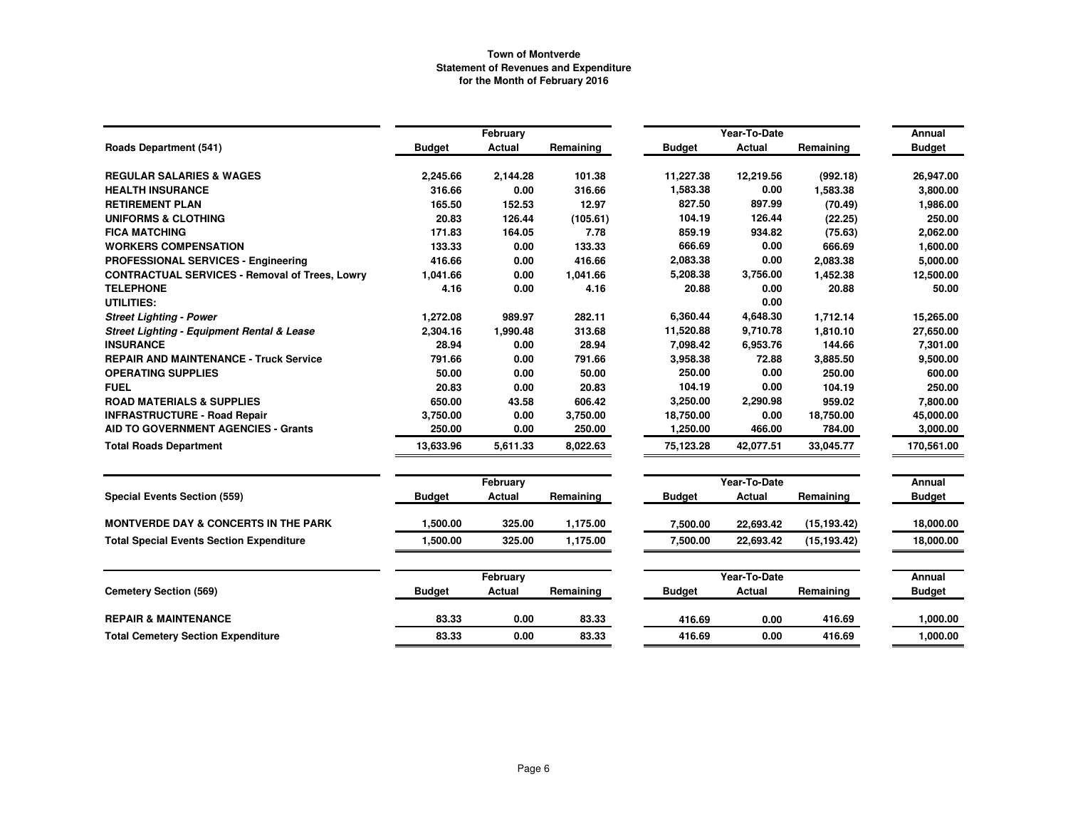|                                                       |               | February      |           |               | Year-To-Date  |              | Annual        |
|-------------------------------------------------------|---------------|---------------|-----------|---------------|---------------|--------------|---------------|
| <b>Roads Department (541)</b>                         | <b>Budget</b> | <b>Actual</b> | Remaining | <b>Budget</b> | Actual        | Remaining    | <b>Budget</b> |
| <b>REGULAR SALARIES &amp; WAGES</b>                   | 2,245.66      | 2,144.28      | 101.38    | 11,227.38     | 12,219.56     | (992.18)     | 26,947.00     |
| <b>HEALTH INSURANCE</b>                               | 316.66        | 0.00          | 316.66    | 1,583.38      | 0.00          | 1,583.38     | 3,800.00      |
| <b>RETIREMENT PLAN</b>                                | 165.50        | 152.53        | 12.97     | 827.50        | 897.99        | (70.49)      | 1,986.00      |
| <b>UNIFORMS &amp; CLOTHING</b>                        | 20.83         | 126.44        | (105.61)  | 104.19        | 126.44        | (22.25)      | 250.00        |
| <b>FICA MATCHING</b>                                  | 171.83        | 164.05        | 7.78      | 859.19        | 934.82        | (75.63)      | 2,062.00      |
| <b>WORKERS COMPENSATION</b>                           | 133.33        | 0.00          | 133.33    | 666.69        | 0.00          | 666.69       | 1,600.00      |
| <b>PROFESSIONAL SERVICES - Engineering</b>            | 416.66        | 0.00          | 416.66    | 2,083.38      | 0.00          | 2,083.38     | 5,000.00      |
| <b>CONTRACTUAL SERVICES - Removal of Trees, Lowry</b> | 1,041.66      | 0.00          | 1,041.66  | 5,208.38      | 3,756.00      | 1,452.38     | 12,500.00     |
| <b>TELEPHONE</b>                                      | 4.16          | 0.00          | 4.16      | 20.88         | 0.00          | 20.88        | 50.00         |
| <b>UTILITIES:</b>                                     |               |               |           |               | 0.00          |              |               |
| <b>Street Lighting - Power</b>                        | 1,272.08      | 989.97        | 282.11    | 6,360.44      | 4,648.30      | 1,712.14     | 15,265.00     |
| <b>Street Lighting - Equipment Rental &amp; Lease</b> | 2,304.16      | 1,990.48      | 313.68    | 11,520.88     | 9,710.78      | 1,810.10     | 27,650.00     |
| <b>INSURANCE</b>                                      | 28.94         | 0.00          | 28.94     | 7,098.42      | 6,953.76      | 144.66       | 7,301.00      |
| <b>REPAIR AND MAINTENANCE - Truck Service</b>         | 791.66        | 0.00          | 791.66    | 3,958.38      | 72.88         | 3,885.50     | 9,500.00      |
| <b>OPERATING SUPPLIES</b>                             | 50.00         | 0.00          | 50.00     | 250.00        | 0.00          | 250.00       | 600.00        |
| <b>FUEL</b>                                           | 20.83         | 0.00          | 20.83     | 104.19        | 0.00          | 104.19       | 250.00        |
| <b>ROAD MATERIALS &amp; SUPPLIES</b>                  | 650.00        | 43.58         | 606.42    | 3,250.00      | 2,290.98      | 959.02       | 7,800.00      |
| <b>INFRASTRUCTURE - Road Repair</b>                   | 3,750.00      | 0.00          | 3,750.00  | 18,750.00     | 0.00          | 18,750.00    | 45,000.00     |
| <b>AID TO GOVERNMENT AGENCIES - Grants</b>            | 250.00        | 0.00          | 250.00    | 1,250.00      | 466.00        | 784.00       | 3,000.00      |
| <b>Total Roads Department</b>                         | 13.633.96     | 5,611.33      | 8,022.63  | 75,123.28     | 42,077.51     | 33,045.77    | 170,561.00    |
|                                                       |               | February      |           |               | Year-To-Date  |              | Annual        |
| <b>Special Events Section (559)</b>                   | <b>Budget</b> | <b>Actual</b> | Remaining | <b>Budget</b> | <b>Actual</b> | Remaining    | <b>Budget</b> |
| <b>MONTVERDE DAY &amp; CONCERTS IN THE PARK</b>       | 1,500.00      | 325.00        | 1,175.00  | 7,500.00      | 22,693.42     | (15, 193.42) | 18,000.00     |
| <b>Total Special Events Section Expenditure</b>       | 1.500.00      | 325.00        | 1,175.00  | 7,500.00      | 22,693.42     | (15, 193.42) | 18,000.00     |
|                                                       |               | February      |           |               | Year-To-Date  |              | Annual        |
| <b>Cemetery Section (569)</b>                         | <b>Budget</b> | Actual        | Remaining | <b>Budget</b> | Actual        | Remaining    | <b>Budget</b> |
| <b>REPAIR &amp; MAINTENANCE</b>                       | 83.33         | 0.00          | 83.33     | 416.69        | 0.00          | 416.69       | 1,000.00      |
| <b>Total Cemetery Section Expenditure</b>             | 83.33         | 0.00          | 83.33     | 416.69        | 0.00          | 416.69       | 1,000.00      |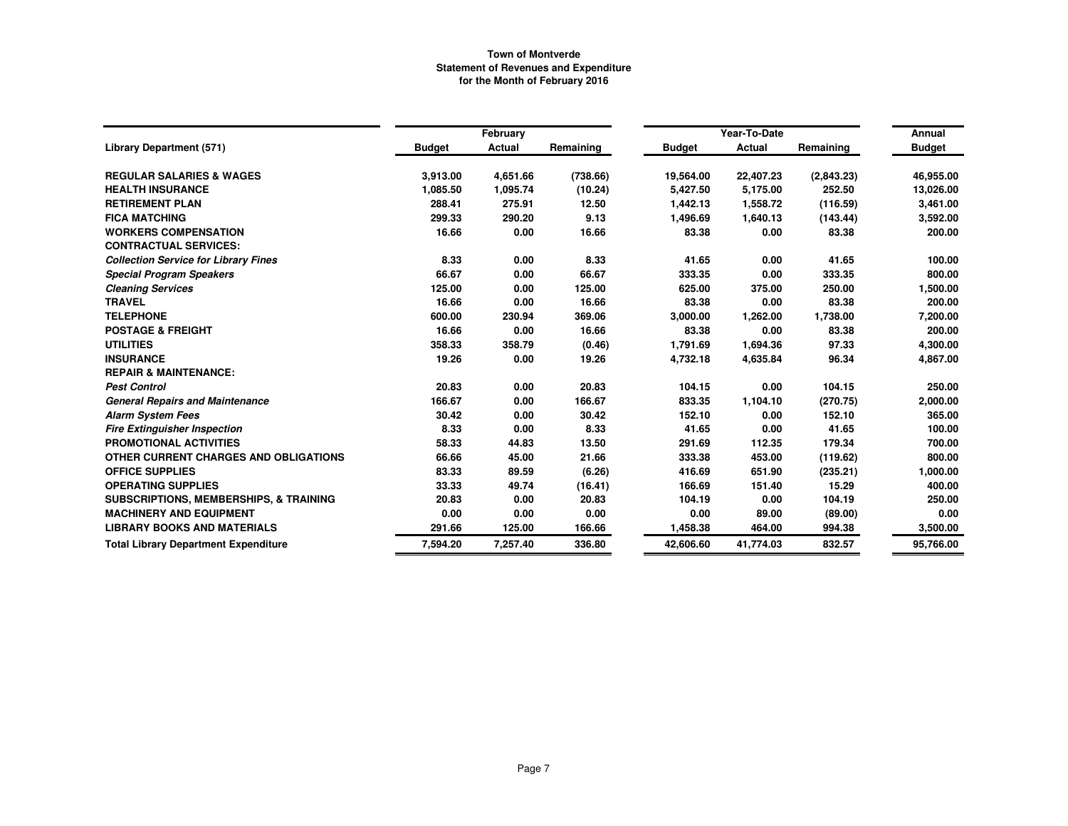|                                                   |               | February      |           |               | Year-To-Date |            | Annual        |
|---------------------------------------------------|---------------|---------------|-----------|---------------|--------------|------------|---------------|
| <b>Library Department (571)</b>                   | <b>Budget</b> | <b>Actual</b> | Remaining | <b>Budget</b> | Actual       | Remaining  | <b>Budget</b> |
| <b>REGULAR SALARIES &amp; WAGES</b>               | 3,913.00      | 4,651.66      | (738.66)  | 19,564.00     | 22,407.23    | (2,843.23) | 46,955.00     |
| <b>HEALTH INSURANCE</b>                           | 1,085.50      | 1,095.74      | (10.24)   | 5,427.50      | 5,175.00     | 252.50     | 13,026.00     |
| <b>RETIREMENT PLAN</b>                            | 288.41        | 275.91        | 12.50     | 1,442.13      | 1,558.72     | (116.59)   | 3,461.00      |
| <b>FICA MATCHING</b>                              | 299.33        | 290.20        | 9.13      | 1,496.69      | 1,640.13     | (143.44)   | 3,592.00      |
| <b>WORKERS COMPENSATION</b>                       | 16.66         | 0.00          | 16.66     | 83.38         | 0.00         | 83.38      | 200.00        |
| <b>CONTRACTUAL SERVICES:</b>                      |               |               |           |               |              |            |               |
| <b>Collection Service for Library Fines</b>       | 8.33          | 0.00          | 8.33      | 41.65         | 0.00         | 41.65      | 100.00        |
| <b>Special Program Speakers</b>                   | 66.67         | 0.00          | 66.67     | 333.35        | 0.00         | 333.35     | 800.00        |
| <b>Cleaning Services</b>                          | 125.00        | 0.00          | 125.00    | 625.00        | 375.00       | 250.00     | 1,500.00      |
| <b>TRAVEL</b>                                     | 16.66         | 0.00          | 16.66     | 83.38         | 0.00         | 83.38      | 200.00        |
| <b>TELEPHONE</b>                                  | 600.00        | 230.94        | 369.06    | 3,000.00      | 1,262.00     | 1,738.00   | 7,200.00      |
| <b>POSTAGE &amp; FREIGHT</b>                      | 16.66         | 0.00          | 16.66     | 83.38         | 0.00         | 83.38      | 200.00        |
| <b>UTILITIES</b>                                  | 358.33        | 358.79        | (0.46)    | 1,791.69      | 1,694.36     | 97.33      | 4,300.00      |
| <b>INSURANCE</b>                                  | 19.26         | 0.00          | 19.26     | 4,732.18      | 4,635.84     | 96.34      | 4,867.00      |
| <b>REPAIR &amp; MAINTENANCE:</b>                  |               |               |           |               |              |            |               |
| <b>Pest Control</b>                               | 20.83         | 0.00          | 20.83     | 104.15        | 0.00         | 104.15     | 250.00        |
| <b>General Repairs and Maintenance</b>            | 166.67        | 0.00          | 166.67    | 833.35        | 1,104.10     | (270.75)   | 2,000.00      |
| <b>Alarm System Fees</b>                          | 30.42         | 0.00          | 30.42     | 152.10        | 0.00         | 152.10     | 365.00        |
| <b>Fire Extinguisher Inspection</b>               | 8.33          | 0.00          | 8.33      | 41.65         | 0.00         | 41.65      | 100.00        |
| PROMOTIONAL ACTIVITIES                            | 58.33         | 44.83         | 13.50     | 291.69        | 112.35       | 179.34     | 700.00        |
| OTHER CURRENT CHARGES AND OBLIGATIONS             | 66.66         | 45.00         | 21.66     | 333.38        | 453.00       | (119.62)   | 800.00        |
| <b>OFFICE SUPPLIES</b>                            | 83.33         | 89.59         | (6.26)    | 416.69        | 651.90       | (235.21)   | 1,000.00      |
| <b>OPERATING SUPPLIES</b>                         | 33.33         | 49.74         | (16.41)   | 166.69        | 151.40       | 15.29      | 400.00        |
| <b>SUBSCRIPTIONS, MEMBERSHIPS, &amp; TRAINING</b> | 20.83         | 0.00          | 20.83     | 104.19        | 0.00         | 104.19     | 250.00        |
| <b>MACHINERY AND EQUIPMENT</b>                    | 0.00          | 0.00          | 0.00      | 0.00          | 89.00        | (89.00)    | 0.00          |
| <b>LIBRARY BOOKS AND MATERIALS</b>                | 291.66        | 125.00        | 166.66    | 1,458.38      | 464.00       | 994.38     | 3,500.00      |
| <b>Total Library Department Expenditure</b>       | 7,594.20      | 7,257.40      | 336.80    | 42,606.60     | 41,774.03    | 832.57     | 95,766.00     |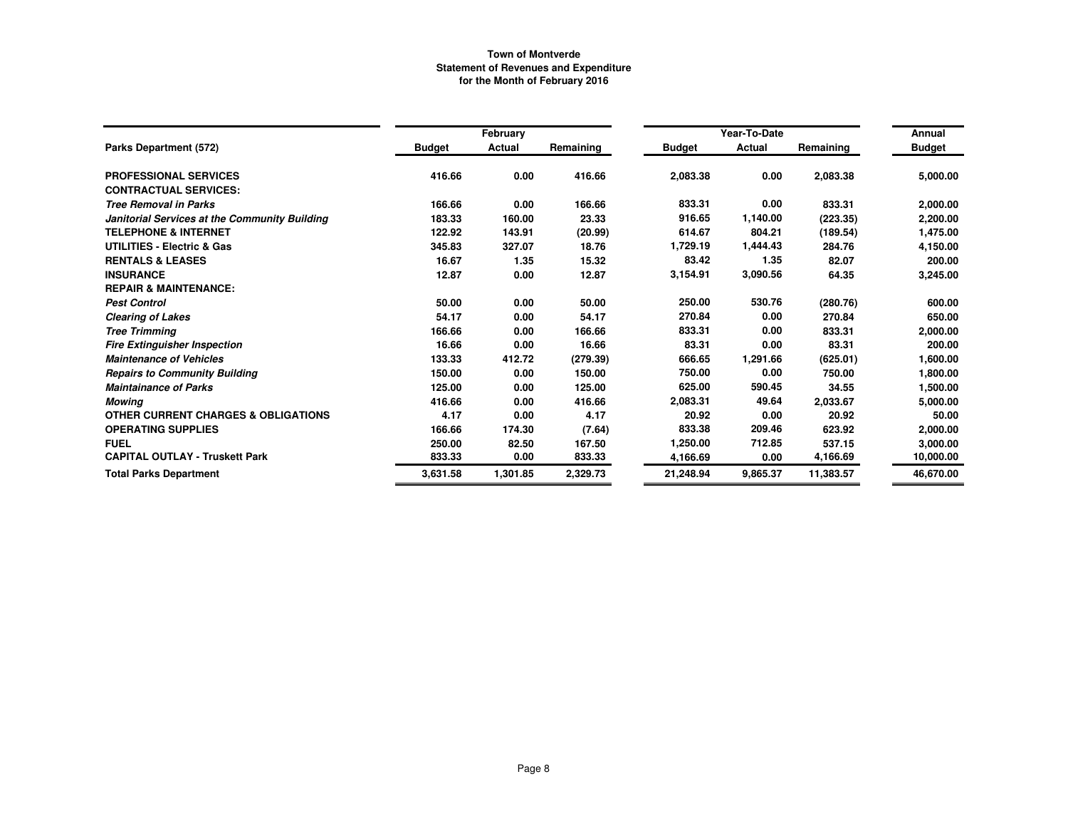|                                                |               | February |           |               | Year-To-Date |           | Annual        |
|------------------------------------------------|---------------|----------|-----------|---------------|--------------|-----------|---------------|
| Parks Department (572)                         | <b>Budget</b> | Actual   | Remaining | <b>Budget</b> | Actual       | Remaining | <b>Budget</b> |
| <b>PROFESSIONAL SERVICES</b>                   | 416.66        | 0.00     | 416.66    | 2,083.38      | 0.00         | 2,083.38  | 5,000.00      |
| <b>CONTRACTUAL SERVICES:</b>                   |               |          |           |               |              |           |               |
| <b>Tree Removal in Parks</b>                   | 166.66        | 0.00     | 166.66    | 833.31        | 0.00         | 833.31    | 2,000.00      |
| Janitorial Services at the Community Building  | 183.33        | 160.00   | 23.33     | 916.65        | 1,140.00     | (223.35)  | 2,200.00      |
| <b>TELEPHONE &amp; INTERNET</b>                | 122.92        | 143.91   | (20.99)   | 614.67        | 804.21       | (189.54)  | 1,475.00      |
| <b>UTILITIES - Electric &amp; Gas</b>          | 345.83        | 327.07   | 18.76     | 1,729.19      | 1,444.43     | 284.76    | 4,150.00      |
| <b>RENTALS &amp; LEASES</b>                    | 16.67         | 1.35     | 15.32     | 83.42         | 1.35         | 82.07     | 200.00        |
| <b>INSURANCE</b>                               | 12.87         | 0.00     | 12.87     | 3.154.91      | 3,090.56     | 64.35     | 3,245.00      |
| <b>REPAIR &amp; MAINTENANCE:</b>               |               |          |           |               |              |           |               |
| <b>Pest Control</b>                            | 50.00         | 0.00     | 50.00     | 250.00        | 530.76       | (280.76)  | 600.00        |
| <b>Clearing of Lakes</b>                       | 54.17         | 0.00     | 54.17     | 270.84        | 0.00         | 270.84    | 650.00        |
| <b>Tree Trimming</b>                           | 166.66        | 0.00     | 166.66    | 833.31        | 0.00         | 833.31    | 2,000.00      |
| <b>Fire Extinguisher Inspection</b>            | 16.66         | 0.00     | 16.66     | 83.31         | 0.00         | 83.31     | 200.00        |
| <b>Maintenance of Vehicles</b>                 | 133.33        | 412.72   | (279.39)  | 666.65        | 1,291.66     | (625.01)  | 1,600.00      |
| <b>Repairs to Community Building</b>           | 150.00        | 0.00     | 150.00    | 750.00        | 0.00         | 750.00    | 1,800.00      |
| <b>Maintainance of Parks</b>                   | 125.00        | 0.00     | 125.00    | 625.00        | 590.45       | 34.55     | 1,500.00      |
| <b>Mowing</b>                                  | 416.66        | 0.00     | 416.66    | 2,083.31      | 49.64        | 2,033.67  | 5,000.00      |
| <b>OTHER CURRENT CHARGES &amp; OBLIGATIONS</b> | 4.17          | 0.00     | 4.17      | 20.92         | 0.00         | 20.92     | 50.00         |
| <b>OPERATING SUPPLIES</b>                      | 166.66        | 174.30   | (7.64)    | 833.38        | 209.46       | 623.92    | 2,000.00      |
| <b>FUEL</b>                                    | 250.00        | 82.50    | 167.50    | 1,250.00      | 712.85       | 537.15    | 3,000.00      |
| <b>CAPITAL OUTLAY - Truskett Park</b>          | 833.33        | 0.00     | 833.33    | 4,166.69      | 0.00         | 4,166.69  | 10,000.00     |
| <b>Total Parks Department</b>                  | 3,631.58      | 1,301.85 | 2,329.73  | 21,248.94     | 9,865.37     | 11,383.57 | 46,670.00     |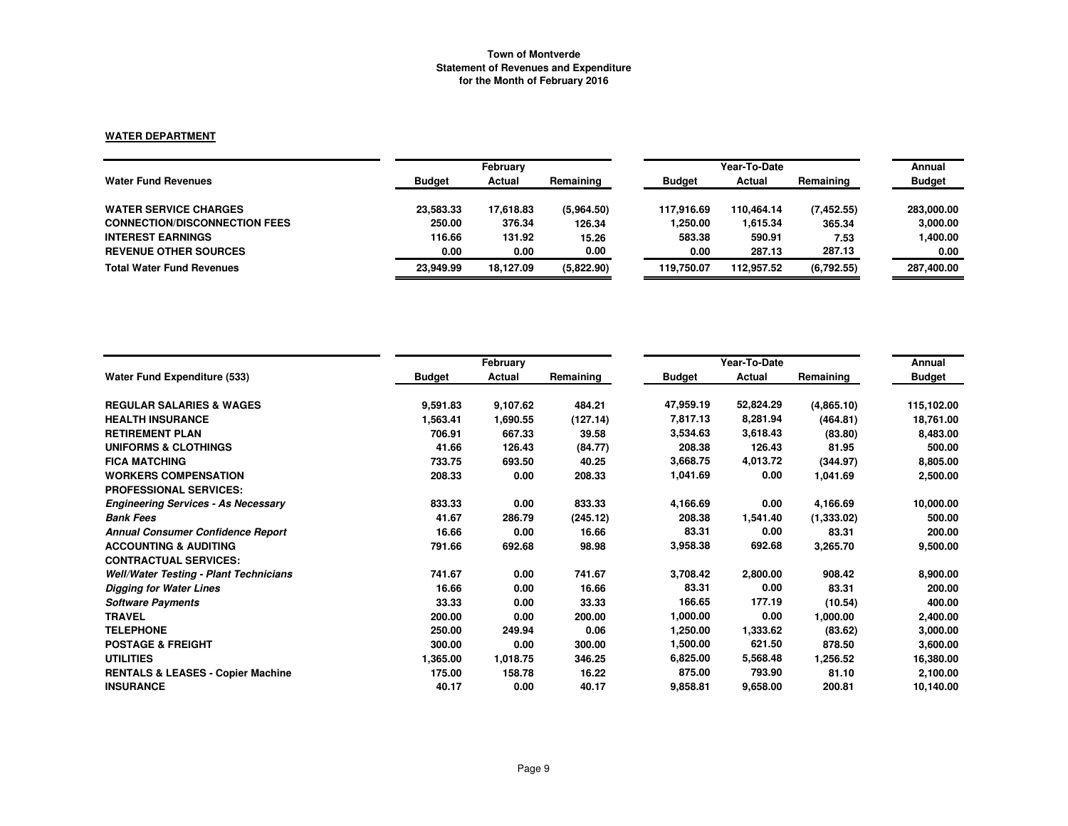### **WATER DEPARTMENT**

|                                      | February      |           |            | Year-To-Date  | Annual     |            |               |
|--------------------------------------|---------------|-----------|------------|---------------|------------|------------|---------------|
| <b>Water Fund Revenues</b>           | <b>Budget</b> | Actual    | Remaining  | <b>Budget</b> | Actual     | Remaining  | <b>Budget</b> |
| <b>WATER SERVICE CHARGES</b>         | 23,583.33     | 17.618.83 | (5,964.50) | 117.916.69    | 110.464.14 | (7.452.55) | 283,000.00    |
| <b>CONNECTION/DISCONNECTION FEES</b> | 250.00        | 376.34    | 126.34     | 1,250.00      | 1,615.34   | 365.34     | 3,000.00      |
| <b>INTEREST EARNINGS</b>             | 116.66        | 131.92    | 15.26      | 583.38        | 590.91     | 7.53       | 1,400.00      |
| <b>REVENUE OTHER SOURCES</b>         | 0.00          | 0.00      | 0.00       | 0.00          | 287.13     | 287.13     | 0.00          |
| <b>Total Water Fund Revenues</b>     | 23.949.99     | 18.127.09 | (5,822.90) | 119.750.07    | 112.957.52 | (6.792.55) | 287,400.00    |

|                                               |               | February |           |               | Year-To-Date |            | Annual        |
|-----------------------------------------------|---------------|----------|-----------|---------------|--------------|------------|---------------|
| <b>Water Fund Expenditure (533)</b>           | <b>Budget</b> | Actual   | Remaining | <b>Budget</b> | Actual       | Remaining  | <b>Budget</b> |
| <b>REGULAR SALARIES &amp; WAGES</b>           | 9,591.83      | 9,107.62 | 484.21    | 47,959.19     | 52,824.29    | (4,865.10) | 115,102.00    |
| <b>HEALTH INSURANCE</b>                       | 1,563.41      | 1,690.55 | (127.14)  | 7,817.13      | 8,281.94     | (464.81)   | 18,761.00     |
| <b>RETIREMENT PLAN</b>                        | 706.91        | 667.33   | 39.58     | 3,534.63      | 3,618.43     | (83.80)    | 8,483.00      |
| <b>UNIFORMS &amp; CLOTHINGS</b>               | 41.66         | 126.43   | (84.77)   | 208.38        | 126.43       | 81.95      | 500.00        |
| <b>FICA MATCHING</b>                          | 733.75        | 693.50   | 40.25     | 3,668.75      | 4,013.72     | (344.97)   | 8,805.00      |
| <b>WORKERS COMPENSATION</b>                   | 208.33        | 0.00     | 208.33    | 1,041.69      | 0.00         | 1,041.69   | 2,500.00      |
| <b>PROFESSIONAL SERVICES:</b>                 |               |          |           |               |              |            |               |
| <b>Engineering Services - As Necessary</b>    | 833.33        | 0.00     | 833.33    | 4,166.69      | 0.00         | 4,166.69   | 10,000.00     |
| <b>Bank Fees</b>                              | 41.67         | 286.79   | (245.12)  | 208.38        | 1,541.40     | (1,333.02) | 500.00        |
| <b>Annual Consumer Confidence Report</b>      | 16.66         | 0.00     | 16.66     | 83.31         | 0.00         | 83.31      | 200.00        |
| <b>ACCOUNTING &amp; AUDITING</b>              | 791.66        | 692.68   | 98.98     | 3,958.38      | 692.68       | 3,265.70   | 9,500.00      |
| <b>CONTRACTUAL SERVICES:</b>                  |               |          |           |               |              |            |               |
| <b>Well/Water Testing - Plant Technicians</b> | 741.67        | 0.00     | 741.67    | 3,708.42      | 2,800.00     | 908.42     | 8,900.00      |
| <b>Digging for Water Lines</b>                | 16.66         | 0.00     | 16.66     | 83.31         | 0.00         | 83.31      | 200.00        |
| <b>Software Payments</b>                      | 33.33         | 0.00     | 33.33     | 166.65        | 177.19       | (10.54)    | 400.00        |
| <b>TRAVEL</b>                                 | 200.00        | 0.00     | 200.00    | 1,000.00      | 0.00         | 1,000.00   | 2,400.00      |
| <b>TELEPHONE</b>                              | 250.00        | 249.94   | 0.06      | 1,250.00      | 1,333.62     | (83.62)    | 3,000.00      |
| <b>POSTAGE &amp; FREIGHT</b>                  | 300.00        | 0.00     | 300.00    | 1,500.00      | 621.50       | 878.50     | 3,600.00      |
| <b>UTILITIES</b>                              | 1,365.00      | 1,018.75 | 346.25    | 6,825.00      | 5,568.48     | 1,256.52   | 16,380.00     |
| <b>RENTALS &amp; LEASES - Copier Machine</b>  | 175.00        | 158.78   | 16.22     | 875.00        | 793.90       | 81.10      | 2,100.00      |
| <b>INSURANCE</b>                              | 40.17         | 0.00     | 40.17     | 9,858.81      | 9,658.00     | 200.81     | 10,140.00     |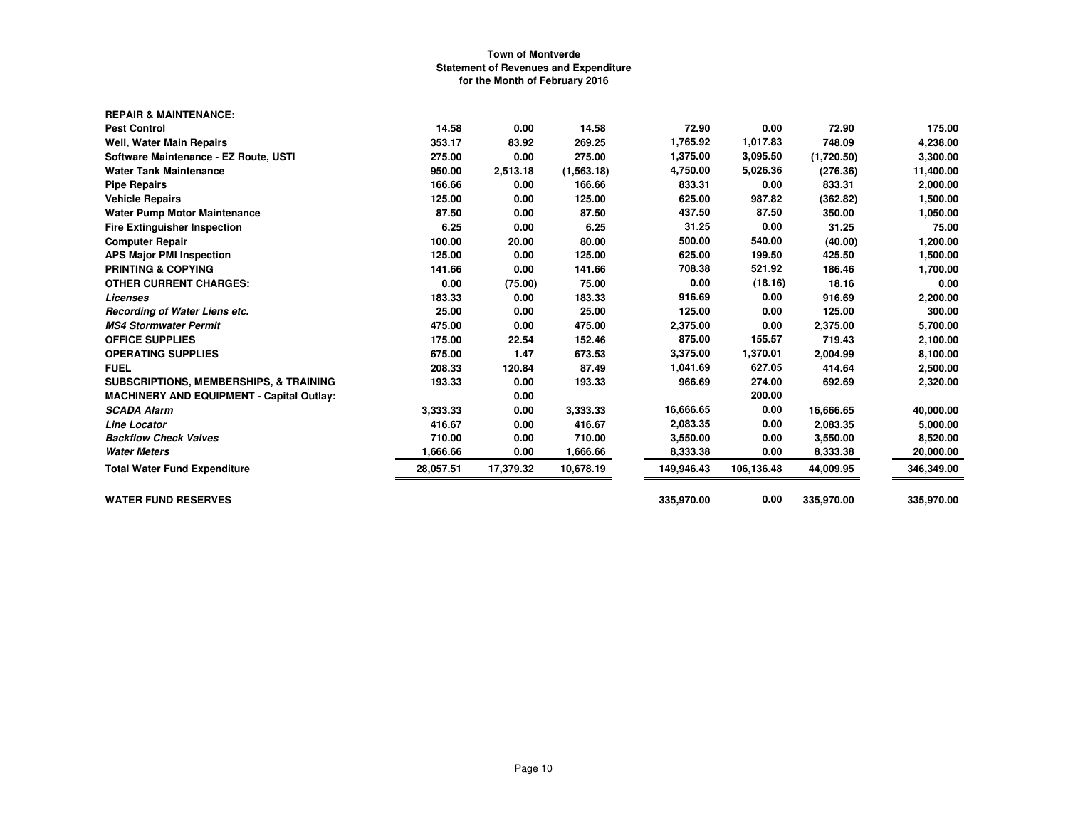| <b>REPAIR &amp; MAINTENANCE:</b>                  |           |           |            |            |            |            |            |
|---------------------------------------------------|-----------|-----------|------------|------------|------------|------------|------------|
| <b>Pest Control</b>                               | 14.58     | 0.00      | 14.58      | 72.90      | 0.00       | 72.90      | 175.00     |
| Well, Water Main Repairs                          | 353.17    | 83.92     | 269.25     | 1,765.92   | 1,017.83   | 748.09     | 4,238.00   |
| Software Maintenance - EZ Route, USTI             | 275.00    | 0.00      | 275.00     | 1,375.00   | 3,095.50   | (1,720.50) | 3,300.00   |
| <b>Water Tank Maintenance</b>                     | 950.00    | 2,513.18  | (1,563.18) | 4,750.00   | 5,026.36   | (276.36)   | 11,400.00  |
| <b>Pipe Repairs</b>                               | 166.66    | 0.00      | 166.66     | 833.31     | 0.00       | 833.31     | 2,000.00   |
| <b>Vehicle Repairs</b>                            | 125.00    | 0.00      | 125.00     | 625.00     | 987.82     | (362.82)   | 1,500.00   |
| <b>Water Pump Motor Maintenance</b>               | 87.50     | 0.00      | 87.50      | 437.50     | 87.50      | 350.00     | 1,050.00   |
| <b>Fire Extinguisher Inspection</b>               | 6.25      | 0.00      | 6.25       | 31.25      | 0.00       | 31.25      | 75.00      |
| <b>Computer Repair</b>                            | 100.00    | 20.00     | 80.00      | 500.00     | 540.00     | (40.00)    | 1,200.00   |
| <b>APS Major PMI Inspection</b>                   | 125.00    | 0.00      | 125.00     | 625.00     | 199.50     | 425.50     | 1,500.00   |
| <b>PRINTING &amp; COPYING</b>                     | 141.66    | 0.00      | 141.66     | 708.38     | 521.92     | 186.46     | 1,700.00   |
| <b>OTHER CURRENT CHARGES:</b>                     | 0.00      | (75.00)   | 75.00      | 0.00       | (18.16)    | 18.16      | 0.00       |
| Licenses                                          | 183.33    | 0.00      | 183.33     | 916.69     | 0.00       | 916.69     | 2,200.00   |
| Recording of Water Liens etc.                     | 25.00     | 0.00      | 25.00      | 125.00     | 0.00       | 125.00     | 300.00     |
| <b>MS4 Stormwater Permit</b>                      | 475.00    | 0.00      | 475.00     | 2,375.00   | 0.00       | 2,375.00   | 5,700.00   |
| <b>OFFICE SUPPLIES</b>                            | 175.00    | 22.54     | 152.46     | 875.00     | 155.57     | 719.43     | 2,100.00   |
| <b>OPERATING SUPPLIES</b>                         | 675.00    | 1.47      | 673.53     | 3,375.00   | 1,370.01   | 2,004.99   | 8,100.00   |
| <b>FUEL</b>                                       | 208.33    | 120.84    | 87.49      | 1,041.69   | 627.05     | 414.64     | 2,500.00   |
| <b>SUBSCRIPTIONS, MEMBERSHIPS, &amp; TRAINING</b> | 193.33    | 0.00      | 193.33     | 966.69     | 274.00     | 692.69     | 2,320.00   |
| <b>MACHINERY AND EQUIPMENT - Capital Outlay:</b>  |           | 0.00      |            |            | 200.00     |            |            |
| <b>SCADA Alarm</b>                                | 3,333.33  | 0.00      | 3,333.33   | 16,666.65  | 0.00       | 16,666.65  | 40,000.00  |
| <b>Line Locator</b>                               | 416.67    | 0.00      | 416.67     | 2,083.35   | 0.00       | 2,083.35   | 5,000.00   |
| <b>Backflow Check Valves</b>                      | 710.00    | 0.00      | 710.00     | 3,550.00   | 0.00       | 3,550.00   | 8,520.00   |
| <b>Water Meters</b>                               | 1,666.66  | 0.00      | 1,666.66   | 8,333.38   | 0.00       | 8,333.38   | 20,000.00  |
| <b>Total Water Fund Expenditure</b>               | 28,057.51 | 17,379.32 | 10,678.19  | 149,946.43 | 106,136.48 | 44,009.95  | 346,349.00 |
| <b>WATER FUND RESERVES</b>                        |           |           |            | 335,970.00 | 0.00       | 335,970.00 | 335,970.00 |